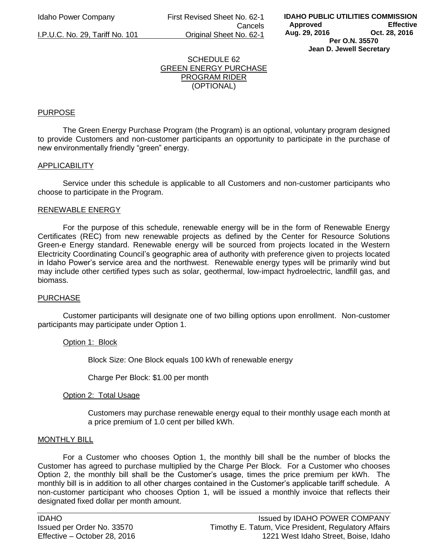Idaho Power Company First Revised Sheet No. 62-1 Cancels I.P.U.C. No. 29, Tariff No. 101 Original Sheet No. 62-1

# SCHEDULE 62 GREEN ENERGY PURCHASE PROGRAM RIDER (OPTIONAL)

## PURPOSE

 The Green Energy Purchase Program (the Program) is an optional, voluntary program designed to provide Customers and non-customer participants an opportunity to participate in the purchase of new environmentally friendly "green" energy.

### **APPLICABILITY**

 Service under this schedule is applicable to all Customers and non-customer participants who choose to participate in the Program.

### RENEWABLE ENERGY

For the purpose of this schedule, renewable energy will be in the form of Renewable Energy Certificates (REC) from new renewable projects as defined by the Center for Resource Solutions Green-e Energy standard. Renewable energy will be sourced from projects located in the Western Electricity Coordinating Council's geographic area of authority with preference given to projects located in Idaho Power's service area and the northwest. Renewable energy types will be primarily wind but may include other certified types such as solar, geothermal, low-impact hydroelectric, landfill gas, and biomass.

## **PURCHASE**

Customer participants will designate one of two billing options upon enrollment. Non-customer participants may participate under Option 1.

### Option 1: Block

Block Size: One Block equals 100 kWh of renewable energy

Charge Per Block: \$1.00 per month

### Option 2: Total Usage

Customers may purchase renewable energy equal to their monthly usage each month at a price premium of 1.0 cent per billed kWh.

### MONTHLY BILL

For a Customer who chooses Option 1, the monthly bill shall be the number of blocks the Customer has agreed to purchase multiplied by the Charge Per Block. For a Customer who chooses Option 2, the monthly bill shall be the Customer's usage, times the price premium per kWh. The monthly bill is in addition to all other charges contained in the Customer's applicable tariff schedule. A non-customer participant who chooses Option 1, will be issued a monthly invoice that reflects their designated fixed dollar per month amount.